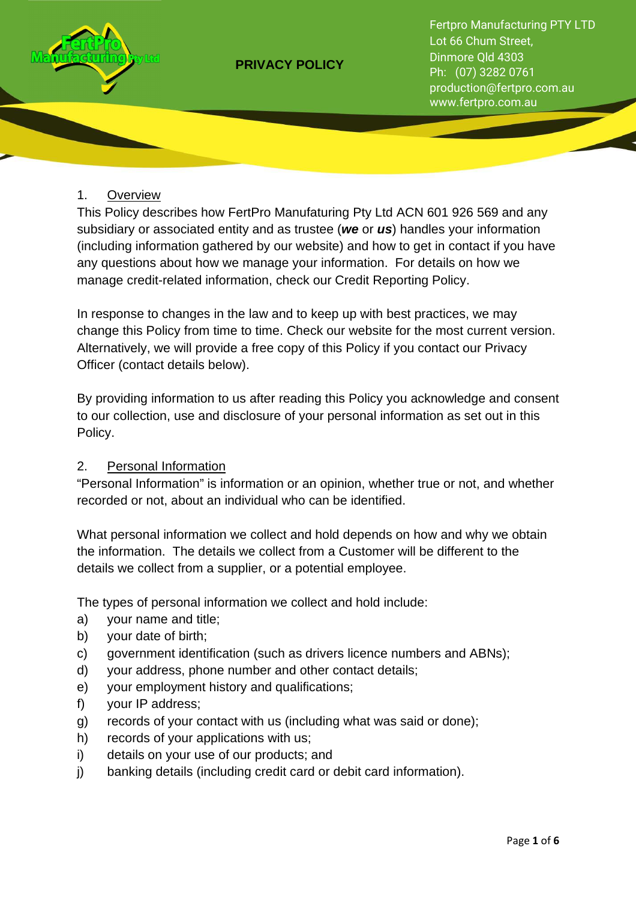

Fertpro Manufacturing PTY LTD Lot 66 Chum Street, Dinmore Qld 4303 Ph: (07) 3282 0761 production@fertpro.com.au www.fertpro.com.au

## 1. Overview

This Policy describes how FertPro Manufaturing Pty Ltd ACN 601 926 569 and any subsidiary or associated entity and as trustee (**we** or **us**) handles your information (including information gathered by our website) and how to get in contact if you have any questions about how we manage your information. For details on how we manage credit-related information, check our Credit Reporting Policy.

In response to changes in the law and to keep up with best practices, we may change this Policy from time to time. Check our website for the most current version. Alternatively, we will provide a free copy of this Policy if you contact our Privacy Officer (contact details below).

By providing information to us after reading this Policy you acknowledge and consent to our collection, use and disclosure of your personal information as set out in this Policy.

## 2. Personal Information

"Personal Information" is information or an opinion, whether true or not, and whether recorded or not, about an individual who can be identified.

What personal information we collect and hold depends on how and why we obtain the information. The details we collect from a Customer will be different to the details we collect from a supplier, or a potential employee.

The types of personal information we collect and hold include:

- a) your name and title;
- b) your date of birth;
- c) government identification (such as drivers licence numbers and ABNs);
- d) your address, phone number and other contact details;
- e) your employment history and qualifications;
- f) your IP address;
- g) records of your contact with us (including what was said or done);
- h) records of your applications with us;
- i) details on your use of our products; and
- j) banking details (including credit card or debit card information).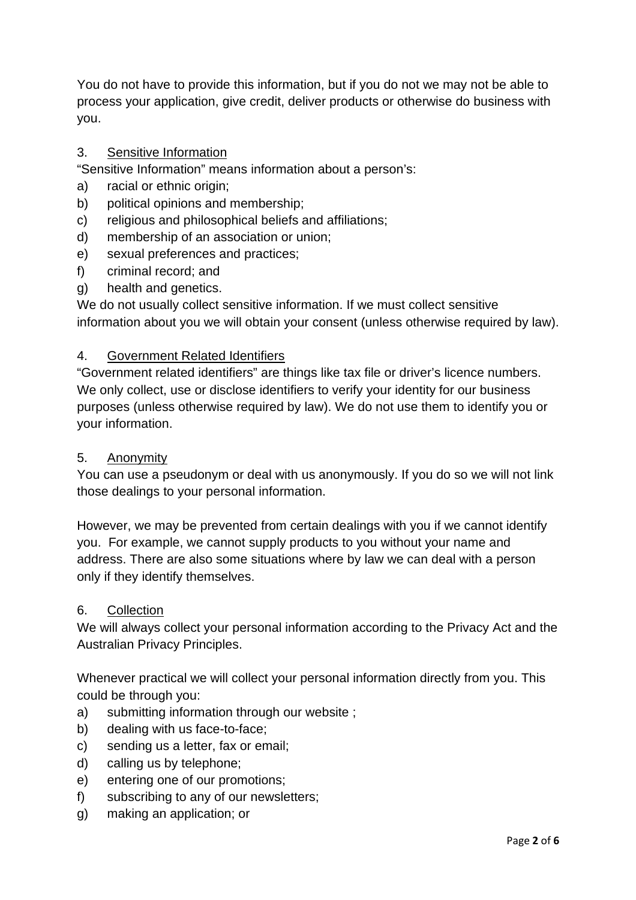You do not have to provide this information, but if you do not we may not be able to process your application, give credit, deliver products or otherwise do business with you.

# 3. Sensitive Information

"Sensitive Information" means information about a person's:

- a) racial or ethnic origin;
- b) political opinions and membership;
- c) religious and philosophical beliefs and affiliations;
- d) membership of an association or union;
- e) sexual preferences and practices;
- f) criminal record; and
- g) health and genetics.

We do not usually collect sensitive information. If we must collect sensitive information about you we will obtain your consent (unless otherwise required by law).

# 4. Government Related Identifiers

"Government related identifiers" are things like tax file or driver's licence numbers. We only collect, use or disclose identifiers to verify your identity for our business purposes (unless otherwise required by law). We do not use them to identify you or your information.

# 5. Anonymity

You can use a pseudonym or deal with us anonymously. If you do so we will not link those dealings to your personal information.

However, we may be prevented from certain dealings with you if we cannot identify you. For example, we cannot supply products to you without your name and address. There are also some situations where by law we can deal with a person only if they identify themselves.

## 6. Collection

We will always collect your personal information according to the Privacy Act and the Australian Privacy Principles.

Whenever practical we will collect your personal information directly from you. This could be through you:

- a) submitting information through our website ;
- b) dealing with us face-to-face;
- c) sending us a letter, fax or email;
- d) calling us by telephone;
- e) entering one of our promotions;
- f) subscribing to any of our newsletters;
- g) making an application; or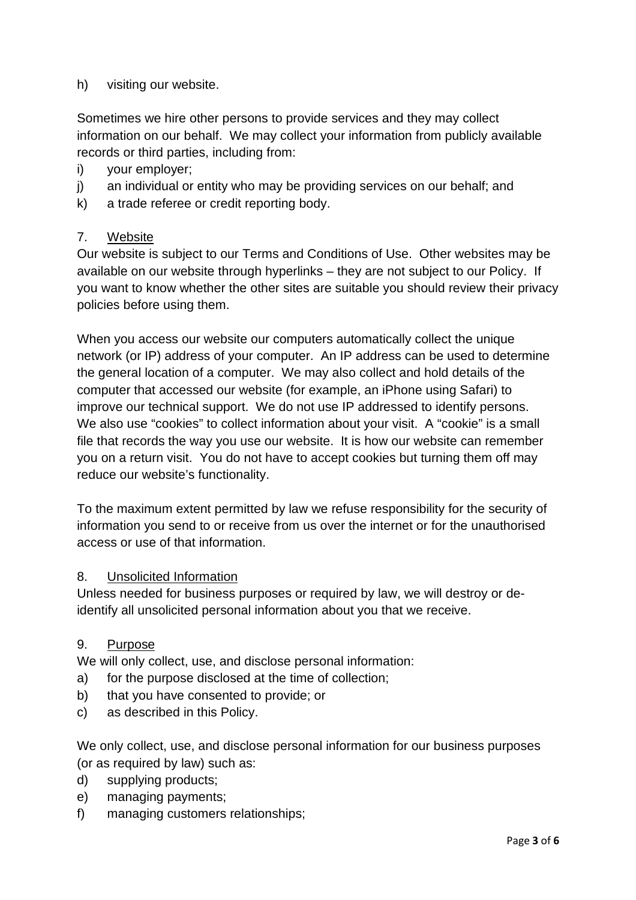h) visiting our website.

Sometimes we hire other persons to provide services and they may collect information on our behalf. We may collect your information from publicly available records or third parties, including from:

- i) your employer;
- j) an individual or entity who may be providing services on our behalf; and
- k) a trade referee or credit reporting body.

## 7. Website

Our website is subject to our Terms and Conditions of Use. Other websites may be available on our website through hyperlinks – they are not subject to our Policy. If you want to know whether the other sites are suitable you should review their privacy policies before using them.

When you access our website our computers automatically collect the unique network (or IP) address of your computer. An IP address can be used to determine the general location of a computer. We may also collect and hold details of the computer that accessed our website (for example, an iPhone using Safari) to improve our technical support. We do not use IP addressed to identify persons. We also use "cookies" to collect information about your visit. A "cookie" is a small file that records the way you use our website. It is how our website can remember you on a return visit. You do not have to accept cookies but turning them off may reduce our website's functionality.

To the maximum extent permitted by law we refuse responsibility for the security of information you send to or receive from us over the internet or for the unauthorised access or use of that information.

## 8. Unsolicited Information

Unless needed for business purposes or required by law, we will destroy or deidentify all unsolicited personal information about you that we receive.

## 9. Purpose

We will only collect, use, and disclose personal information:

- a) for the purpose disclosed at the time of collection;
- b) that you have consented to provide; or
- c) as described in this Policy.

We only collect, use, and disclose personal information for our business purposes (or as required by law) such as:

- d) supplying products;
- e) managing payments;
- f) managing customers relationships;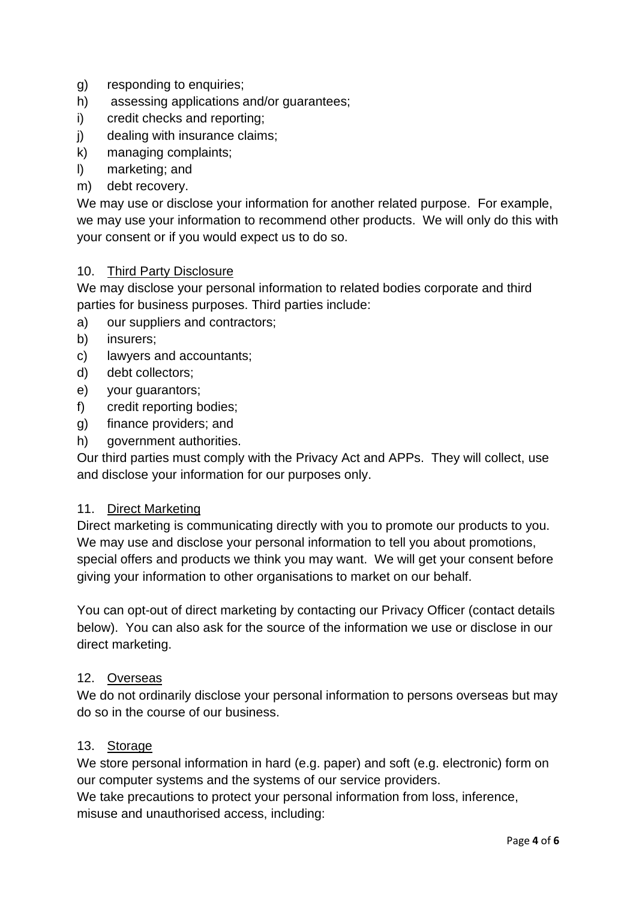- g) responding to enquiries;
- h) assessing applications and/or guarantees;
- i) credit checks and reporting;
- j) dealing with insurance claims;
- k) managing complaints;
- l) marketing; and
- m) debt recovery.

We may use or disclose your information for another related purpose. For example, we may use your information to recommend other products. We will only do this with your consent or if you would expect us to do so.

#### 10. Third Party Disclosure

We may disclose your personal information to related bodies corporate and third parties for business purposes. Third parties include:

- a) our suppliers and contractors;
- b) insurers;
- c) lawyers and accountants;
- d) debt collectors;
- e) your guarantors;
- f) credit reporting bodies;
- g) finance providers; and
- h) government authorities.

Our third parties must comply with the Privacy Act and APPs. They will collect, use and disclose your information for our purposes only.

#### 11. Direct Marketing

Direct marketing is communicating directly with you to promote our products to you. We may use and disclose your personal information to tell you about promotions, special offers and products we think you may want. We will get your consent before giving your information to other organisations to market on our behalf.

You can opt-out of direct marketing by contacting our Privacy Officer (contact details below). You can also ask for the source of the information we use or disclose in our direct marketing.

#### 12. Overseas

We do not ordinarily disclose your personal information to persons overseas but may do so in the course of our business.

#### 13. Storage

We store personal information in hard (e.g. paper) and soft (e.g. electronic) form on our computer systems and the systems of our service providers.

We take precautions to protect your personal information from loss, inference, misuse and unauthorised access, including: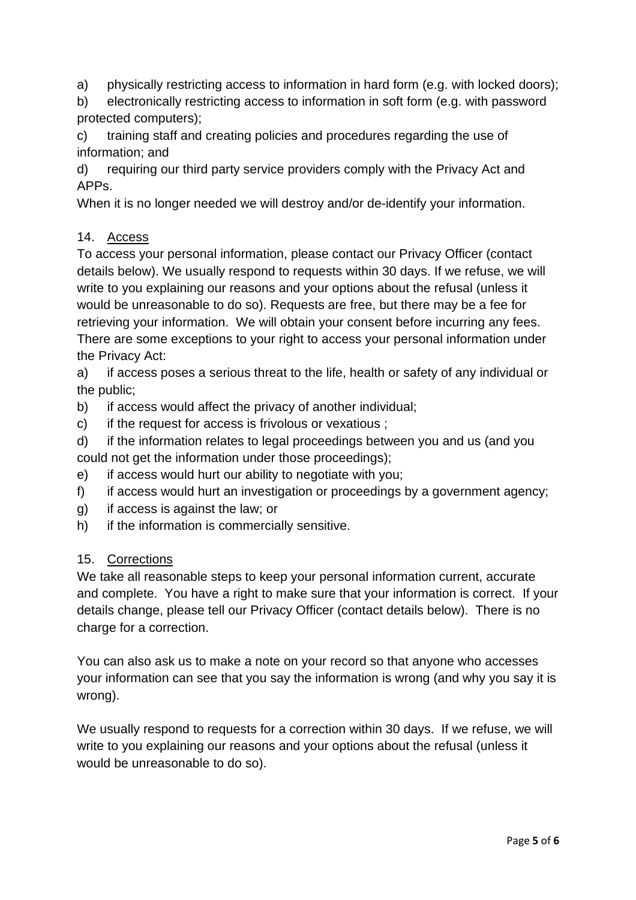a) physically restricting access to information in hard form (e.g. with locked doors);

b) electronically restricting access to information in soft form (e.g. with password protected computers);

c) training staff and creating policies and procedures regarding the use of information; and

d) requiring our third party service providers comply with the Privacy Act and APPs.

When it is no longer needed we will destroy and/or de-identify your information.

## 14. Access

To access your personal information, please contact our Privacy Officer (contact details below). We usually respond to requests within 30 days. If we refuse, we will write to you explaining our reasons and your options about the refusal (unless it would be unreasonable to do so). Requests are free, but there may be a fee for retrieving your information. We will obtain your consent before incurring any fees. There are some exceptions to your right to access your personal information under the Privacy Act:

a) if access poses a serious threat to the life, health or safety of any individual or the public;

- b) if access would affect the privacy of another individual:
- c) if the request for access is frivolous or vexatious ;
- d) if the information relates to legal proceedings between you and us (and you could not get the information under those proceedings);
- e) if access would hurt our ability to negotiate with you;
- f) if access would hurt an investigation or proceedings by a government agency;
- g) if access is against the law; or
- h) if the information is commercially sensitive.

# 15. Corrections

We take all reasonable steps to keep your personal information current, accurate and complete. You have a right to make sure that your information is correct. If your details change, please tell our Privacy Officer (contact details below). There is no charge for a correction.

You can also ask us to make a note on your record so that anyone who accesses your information can see that you say the information is wrong (and why you say it is wrong).

We usually respond to requests for a correction within 30 days. If we refuse, we will write to you explaining our reasons and your options about the refusal (unless it would be unreasonable to do so).